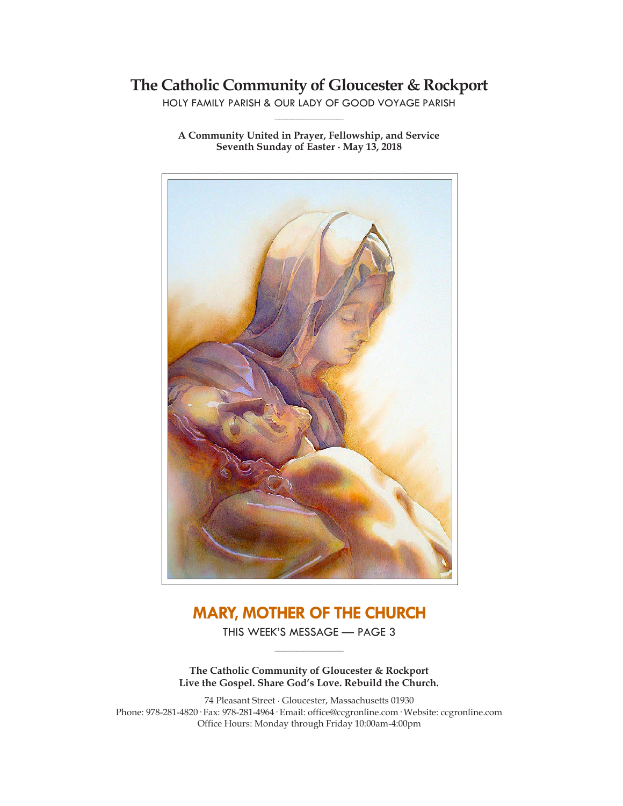# **The Catholic Community of Gloucester & Rockport**

HOLY FAMILY PARISH & OUR LADY OF GOOD VOYAGE PARISH **\_\_\_\_\_\_\_\_\_\_\_\_\_\_\_\_\_\_\_\_\_\_\_\_\_\_\_\_\_**

**A Community United in Prayer, Fellowship, and Service Seventh Sunday of Easter ∙ May 13, 2018**



# **MARY, MOTHER OF THE CHURCH**

THIS WEEK'S MESSAGE — PAGE 3 **\_\_\_\_\_\_\_\_\_\_\_\_\_\_\_\_\_\_\_\_\_\_\_\_\_\_\_\_\_**

**The Catholic Community of Gloucester & Rockport Live the Gospel. Share God's Love. Rebuild the Church.**

74 Pleasant Street ∙ Gloucester, Massachusetts 01930 Phone: 978-281-4820· Fax: 978-281-4964· Email: office@ccgronline.com· Website: ccgronline.com Office Hours: Monday through Friday 10:00am-4:00pm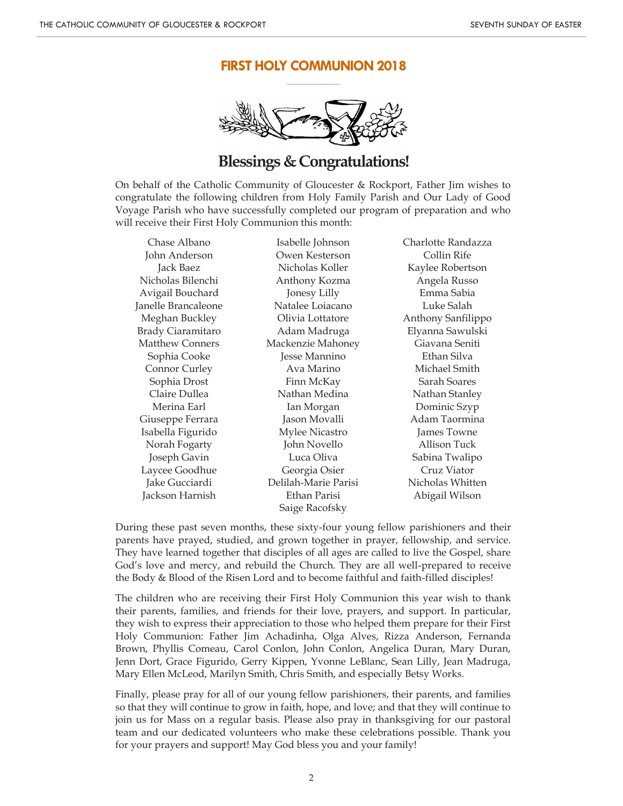### **FIRST HOLY COMMUNION 2018 \_\_\_\_\_\_\_\_\_\_\_\_\_\_\_\_\_\_\_\_\_**



# **Blessings & Congratulations!**

On behalf of the Catholic Community of Gloucester & Rockport, Father Jim wishes to congratulate the following children from Holy Family Parish and Our Lady of Good Voyage Parish who have successfully completed our program of preparation and who will receive their First Holy Communion this month:

Chase Albano John Anderson Jack Baez Nicholas Bilenchi Avigail Bouchard Janelle Brancaleone Meghan Buckley Brady Ciaramitaro Matthew Conners Sophia Cooke Connor Curley Sophia Drost Claire Dullea Merina Earl Giuseppe Ferrara Isabella Figurido Norah Fogarty Joseph Gavin Laycee Goodhue Jake Gucciardi Jackson Harnish

Isabelle Johnson Owen Kesterson Nicholas Koller Anthony Kozma Jonesy Lilly Natalee Loiacano Olivia Lottatore Adam Madruga Mackenzie Mahoney Jesse Mannino Ava Marino Finn McKay Nathan Medina Ian Morgan Jason Movalli Mylee Nicastro John Novello Luca Oliva Georgia Osier Delilah-Marie Parisi Ethan Parisi Saige Racofsky

Charlotte Randazza Collin Rife Kaylee Robertson Angela Russo Emma Sabia Luke Salah Anthony Sanfilippo Elyanna Sawulski Giavana Seniti Ethan Silva Michael Smith Sarah Soares Nathan Stanley Dominic Szyp Adam Taormina James Towne Allison Tuck Sabina Twalipo Cruz Viator Nicholas Whitten Abigail Wilson

During these past seven months, these sixty-four young fellow parishioners and their parents have prayed, studied, and grown together in prayer, fellowship, and service. They have learned together that disciples of all ages are called to live the Gospel, share God's love and mercy, and rebuild the Church. They are all well-prepared to receive the Body & Blood of the Risen Lord and to become faithful and faith-filled disciples!

The children who are receiving their First Holy Communion this year wish to thank their parents, families, and friends for their love, prayers, and support. In particular, they wish to express their appreciation to those who helped them prepare for their First Holy Communion: Father Jim Achadinha, Olga Alves, Rizza Anderson, Fernanda Brown, Phyllis Comeau, Carol Conlon, John Conlon, Angelica Duran, Mary Duran, Jenn Dort, Grace Figurido, Gerry Kippen, Yvonne LeBlanc, Sean Lilly, Jean Madruga, Mary Ellen McLeod, Marilyn Smith, Chris Smith, and especially Betsy Works.

Finally, please pray for all of our young fellow parishioners, their parents, and families so that they will continue to grow in faith, hope, and love; and that they will continue to join us for Mass on a regular basis. Please also pray in thanksgiving for our pastoral team and our dedicated volunteers who make these celebrations possible. Thank you for your prayers and support! May God bless you and your family!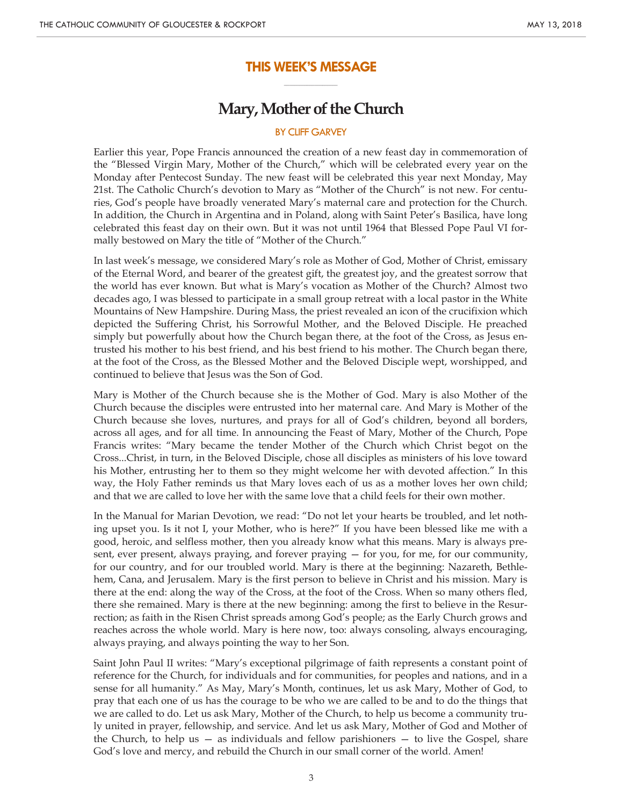#### **THIS WEEK'S MESSAGE \_\_\_\_\_\_\_\_\_\_\_\_\_\_\_\_\_\_\_\_\_**

# **Mary, Mother of the Church**

#### BY CLIFF GARVEY

Earlier this year, Pope Francis announced the creation of a new feast day in commemoration of the "Blessed Virgin Mary, Mother of the Church," which will be celebrated every year on the Monday after Pentecost Sunday. The new feast will be celebrated this year next Monday, May 21st. The Catholic Church's devotion to Mary as "Mother of the Church" is not new. For centuries, God's people have broadly venerated Mary's maternal care and protection for the Church. In addition, the Church in Argentina and in Poland, along with Saint Peter's Basilica, have long celebrated this feast day on their own. But it was not until 1964 that Blessed Pope Paul VI formally bestowed on Mary the title of "Mother of the Church."

In last week's message, we considered Mary's role as Mother of God, Mother of Christ, emissary of the Eternal Word, and bearer of the greatest gift, the greatest joy, and the greatest sorrow that the world has ever known. But what is Mary's vocation as Mother of the Church? Almost two decades ago, I was blessed to participate in a small group retreat with a local pastor in the White Mountains of New Hampshire. During Mass, the priest revealed an icon of the crucifixion which depicted the Suffering Christ, his Sorrowful Mother, and the Beloved Disciple. He preached simply but powerfully about how the Church began there, at the foot of the Cross, as Jesus entrusted his mother to his best friend, and his best friend to his mother. The Church began there, at the foot of the Cross, as the Blessed Mother and the Beloved Disciple wept, worshipped, and continued to believe that Jesus was the Son of God.

Mary is Mother of the Church because she is the Mother of God. Mary is also Mother of the Church because the disciples were entrusted into her maternal care. And Mary is Mother of the Church because she loves, nurtures, and prays for all of God's children, beyond all borders, across all ages, and for all time. In announcing the Feast of Mary, Mother of the Church, Pope Francis writes: "Mary became the tender Mother of the Church which Christ begot on the Cross...Christ, in turn, in the Beloved Disciple, chose all disciples as ministers of his love toward his Mother, entrusting her to them so they might welcome her with devoted affection." In this way, the Holy Father reminds us that Mary loves each of us as a mother loves her own child; and that we are called to love her with the same love that a child feels for their own mother.

In the Manual for Marian Devotion, we read: "Do not let your hearts be troubled, and let nothing upset you. Is it not I, your Mother, who is here?" If you have been blessed like me with a good, heroic, and selfless mother, then you already know what this means. Mary is always present, ever present, always praying, and forever praying — for you, for me, for our community, for our country, and for our troubled world. Mary is there at the beginning: Nazareth, Bethlehem, Cana, and Jerusalem. Mary is the first person to believe in Christ and his mission. Mary is there at the end: along the way of the Cross, at the foot of the Cross. When so many others fled, there she remained. Mary is there at the new beginning: among the first to believe in the Resurrection; as faith in the Risen Christ spreads among God's people; as the Early Church grows and reaches across the whole world. Mary is here now, too: always consoling, always encouraging, always praying, and always pointing the way to her Son.

Saint John Paul II writes: "Mary's exceptional pilgrimage of faith represents a constant point of reference for the Church, for individuals and for communities, for peoples and nations, and in a sense for all humanity." As May, Mary's Month, continues, let us ask Mary, Mother of God, to pray that each one of us has the courage to be who we are called to be and to do the things that we are called to do. Let us ask Mary, Mother of the Church, to help us become a community truly united in prayer, fellowship, and service. And let us ask Mary, Mother of God and Mother of the Church, to help us  $-$  as individuals and fellow parishioners  $-$  to live the Gospel, share God's love and mercy, and rebuild the Church in our small corner of the world. Amen!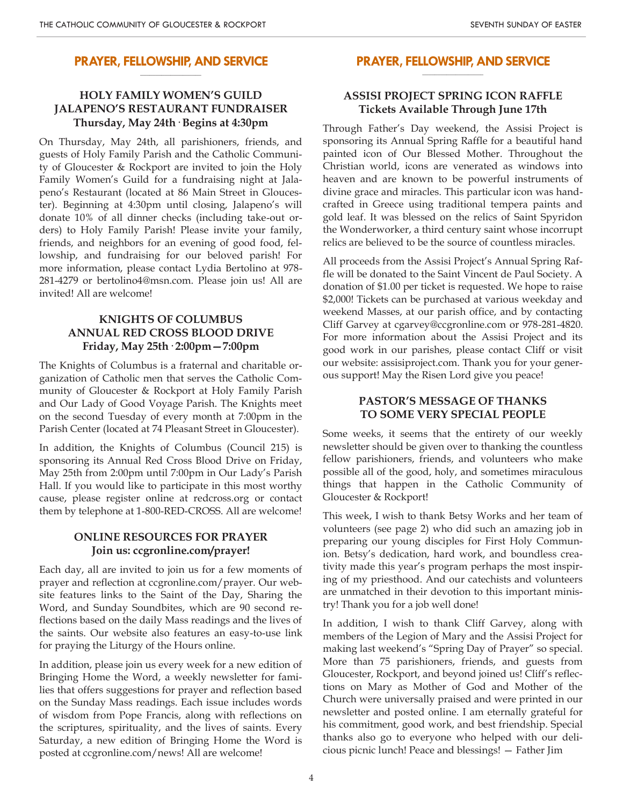#### **PRAYER, FELLOWSHIP, AND SERVICE \_\_\_\_\_\_\_\_\_\_\_\_\_\_\_\_\_\_\_\_**

## **HOLY FAMILY WOMEN'S GUILD JALAPENO'S RESTAURANT FUNDRAISER Thursday, May 24th· Begins at 4:30pm**

On Thursday, May 24th, all parishioners, friends, and guests of Holy Family Parish and the Catholic Community of Gloucester & Rockport are invited to join the Holy Family Women's Guild for a fundraising night at Jalapeno's Restaurant (located at 86 Main Street in Gloucester). Beginning at 4:30pm until closing, Jalapeno's will donate 10% of all dinner checks (including take-out orders) to Holy Family Parish! Please invite your family, friends, and neighbors for an evening of good food, fellowship, and fundraising for our beloved parish! For more information, please contact Lydia Bertolino at 978- 281-4279 or bertolino4@msn.com. Please join us! All are invited! All are welcome!

# **KNIGHTS OF COLUMBUS ANNUAL RED CROSS BLOOD DRIVE Friday, May 25th· 2:00pm—7:00pm**

The Knights of Columbus is a fraternal and charitable organization of Catholic men that serves the Catholic Community of Gloucester & Rockport at Holy Family Parish and Our Lady of Good Voyage Parish. The Knights meet on the second Tuesday of every month at 7:00pm in the Parish Center (located at 74 Pleasant Street in Gloucester).

In addition, the Knights of Columbus (Council 215) is sponsoring its Annual Red Cross Blood Drive on Friday, May 25th from 2:00pm until 7:00pm in Our Lady's Parish Hall. If you would like to participate in this most worthy cause, please register online at redcross.org or contact them by telephone at 1-800-RED-CROSS. All are welcome!

## **ONLINE RESOURCES FOR PRAYER Join us: ccgronline.com/prayer!**

Each day, all are invited to join us for a few moments of prayer and reflection at ccgronline.com/prayer. Our website features links to the Saint of the Day, Sharing the Word, and Sunday Soundbites, which are 90 second reflections based on the daily Mass readings and the lives of the saints. Our website also features an easy-to-use link for praying the Liturgy of the Hours online.

In addition, please join us every week for a new edition of Bringing Home the Word, a weekly newsletter for families that offers suggestions for prayer and reflection based on the Sunday Mass readings. Each issue includes words of wisdom from Pope Francis, along with reflections on the scriptures, spirituality, and the lives of saints. Every Saturday, a new edition of Bringing Home the Word is posted at ccgronline.com/news! All are welcome!

#### **PRAYER, FELLOWSHIP, AND SERVICE \_\_\_\_\_\_\_\_\_\_\_\_\_\_\_\_\_\_\_\_**

## **ASSISI PROJECT SPRING ICON RAFFLE Tickets Available Through June 17th**

Through Father's Day weekend, the Assisi Project is sponsoring its Annual Spring Raffle for a beautiful hand painted icon of Our Blessed Mother. Throughout the Christian world, icons are venerated as windows into heaven and are known to be powerful instruments of divine grace and miracles. This particular icon was handcrafted in Greece using traditional tempera paints and gold leaf. It was blessed on the relics of Saint Spyridon the Wonderworker, a third century saint whose incorrupt relics are believed to be the source of countless miracles.

All proceeds from the Assisi Project's Annual Spring Raffle will be donated to the Saint Vincent de Paul Society. A donation of \$1.00 per ticket is requested. We hope to raise \$2,000! Tickets can be purchased at various weekday and weekend Masses, at our parish office, and by contacting Cliff Garvey at cgarvey@ccgronline.com or 978-281-4820. For more information about the Assisi Project and its good work in our parishes, please contact Cliff or visit our website: assisiproject.com. Thank you for your generous support! May the Risen Lord give you peace!

#### **PASTOR'S MESSAGE OF THANKS TO SOME VERY SPECIAL PEOPLE**

Some weeks, it seems that the entirety of our weekly newsletter should be given over to thanking the countless fellow parishioners, friends, and volunteers who make possible all of the good, holy, and sometimes miraculous things that happen in the Catholic Community of Gloucester & Rockport!

This week, I wish to thank Betsy Works and her team of volunteers (see page 2) who did such an amazing job in preparing our young disciples for First Holy Communion. Betsy's dedication, hard work, and boundless creativity made this year's program perhaps the most inspiring of my priesthood. And our catechists and volunteers are unmatched in their devotion to this important ministry! Thank you for a job well done!

In addition, I wish to thank Cliff Garvey, along with members of the Legion of Mary and the Assisi Project for making last weekend's "Spring Day of Prayer" so special. More than 75 parishioners, friends, and guests from Gloucester, Rockport, and beyond joined us! Cliff's reflections on Mary as Mother of God and Mother of the Church were universally praised and were printed in our newsletter and posted online. I am eternally grateful for his commitment, good work, and best friendship. Special thanks also go to everyone who helped with our delicious picnic lunch! Peace and blessings! — Father Jim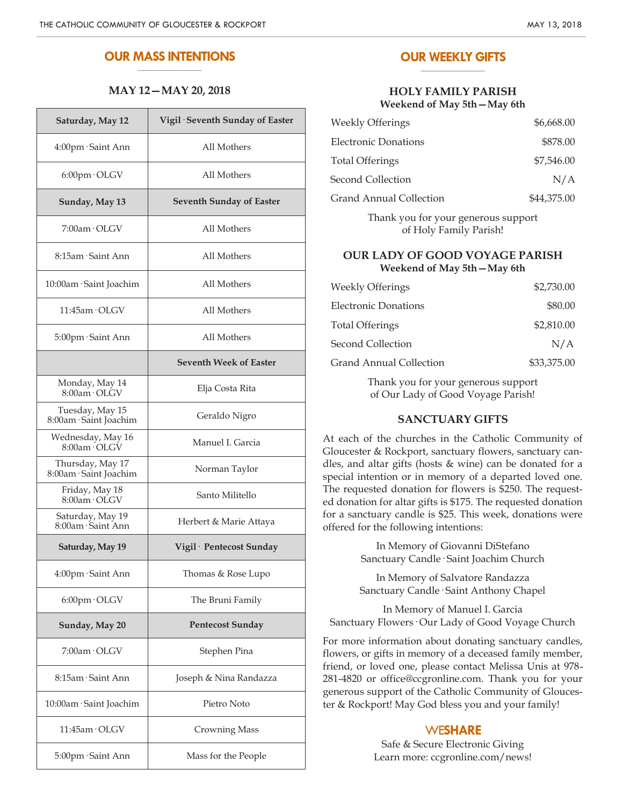#### **OUR MASS INTENTIONS \_\_\_\_\_\_\_\_\_\_\_\_\_\_\_\_\_\_\_\_\_**

#### **MAY 12—MAY 20, 2018**

| Saturday, May 12                           | Vigil · Seventh Sunday of Easter |
|--------------------------------------------|----------------------------------|
| 4:00pm · Saint Ann                         | All Mothers                      |
| 6:00pm · OLGV                              | All Mothers                      |
| Sunday, May 13                             | <b>Seventh Sunday of Easter</b>  |
| 7:00am · OLGV                              | All Mothers                      |
| 8:15am · Saint Ann                         | All Mothers                      |
| 10:00am · Saint Joachim                    | All Mothers                      |
| $11:45$ am $\cdot$ OLGV                    | All Mothers                      |
| 5:00pm · Saint Ann                         | All Mothers                      |
|                                            | <b>Seventh Week of Easter</b>    |
| Monday, May 14<br>$8:00$ am $\cdot$ OLGV   | Elja Costa Rita                  |
| Tuesday, May 15<br>8:00am · Saint Joachim  | Geraldo Nigro                    |
| Wednesday, May 16<br>8:00am OLGV           | Manuel I. Garcia                 |
| Thursday, May 17<br>8:00am · Saint Joachim | Norman Taylor                    |
| Friday, May 18<br>$8:00$ am $\cdot$ OLGV   | Santo Militello                  |
| Saturday, May 19<br>8:00am · Saint Ann     | Herbert & Marie Attaya           |
| Saturday, May 19                           | Vigil · Pentecost Sunday         |
| 4:00pm · Saint Ann                         | Thomas & Rose Lupo               |
| 6:00pm · OLGV                              | The Bruni Family                 |
| Sunday, May 20                             | <b>Pentecost Sunday</b>          |
| 7:00am · OLGV                              | Stephen Pina                     |
| 8:15am · Saint Ann                         | Joseph & Nina Randazza           |
| 10:00am · Saint Joachim                    | Pietro Noto                      |
| 11:45am · OLGV                             | <b>Crowning Mass</b>             |
| 5:00pm · Saint Ann                         | Mass for the People              |

#### **OUR WEEKLY GIFTS \_\_\_\_\_\_\_\_\_\_\_\_\_\_\_\_\_\_\_\_\_**

#### **HOLY FAMILY PARISH Weekend of May 5th—May 6th**

| <b>Weekly Offerings</b>                                                                                                                                                                                                                                                                          | \$6,668.00  |
|--------------------------------------------------------------------------------------------------------------------------------------------------------------------------------------------------------------------------------------------------------------------------------------------------|-------------|
| <b>Electronic Donations</b>                                                                                                                                                                                                                                                                      | \$878.00    |
| <b>Total Offerings</b>                                                                                                                                                                                                                                                                           | \$7,546.00  |
| Second Collection                                                                                                                                                                                                                                                                                | N/A         |
| <b>Grand Annual Collection</b>                                                                                                                                                                                                                                                                   | \$44,375.00 |
| $\mathbf{r}$ and $\mathbf{r}$ and $\mathbf{r}$ and $\mathbf{r}$ and $\mathbf{r}$ and $\mathbf{r}$ and $\mathbf{r}$ and $\mathbf{r}$ and $\mathbf{r}$ and $\mathbf{r}$ and $\mathbf{r}$ and $\mathbf{r}$ and $\mathbf{r}$ and $\mathbf{r}$ and $\mathbf{r}$ and $\mathbf{r}$ and $\mathbf{r}$ and |             |

Thank you for your generous support of Holy Family Parish!

#### **OUR LADY OF GOOD VOYAGE PARISH Weekend of May 5th—May 6th**

| <b>Weekly Offerings</b> | \$2,730.00  |
|-------------------------|-------------|
| Electronic Donations    | \$80.00     |
| <b>Total Offerings</b>  | \$2,810.00  |
| Second Collection       | N/A         |
| Grand Annual Collection | \$33,375.00 |

Thank you for your generous support of Our Lady of Good Voyage Parish!

#### **SANCTUARY GIFTS**

At each of the churches in the Catholic Community of Gloucester & Rockport, sanctuary flowers, sanctuary candles, and altar gifts (hosts & wine) can be donated for a special intention or in memory of a departed loved one. The requested donation for flowers is \$250. The requested donation for altar gifts is \$175. The requested donation for a sanctuary candle is \$25. This week, donations were offered for the following intentions:

> In Memory of Giovanni DiStefano Sanctuary Candle· Saint Joachim Church

> In Memory of Salvatore Randazza Sanctuary Candle· Saint Anthony Chapel

In Memory of Manuel I. Garcia Sanctuary Flowers· Our Lady of Good Voyage Church

For more information about donating sanctuary candles, flowers, or gifts in memory of a deceased family member, friend, or loved one, please contact Melissa Unis at 978- 281-4820 or office@ccgronline.com. Thank you for your generous support of the Catholic Community of Gloucester & Rockport! May God bless you and your family!

### WE**SHARE**

Safe & Secure Electronic Giving Learn more: ccgronline.com/news!